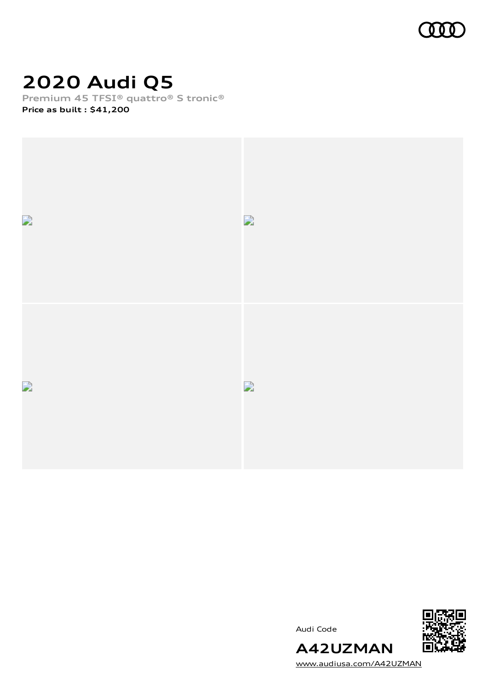

# **2020 Audi Q5**

**Premium 45 TFSI® quattro® S tronic®**

**Price as built [:](#page-8-0) \$41,200**







[www.audiusa.com/A42UZMAN](https://www.audiusa.com/A42UZMAN)

**A42UZMAN**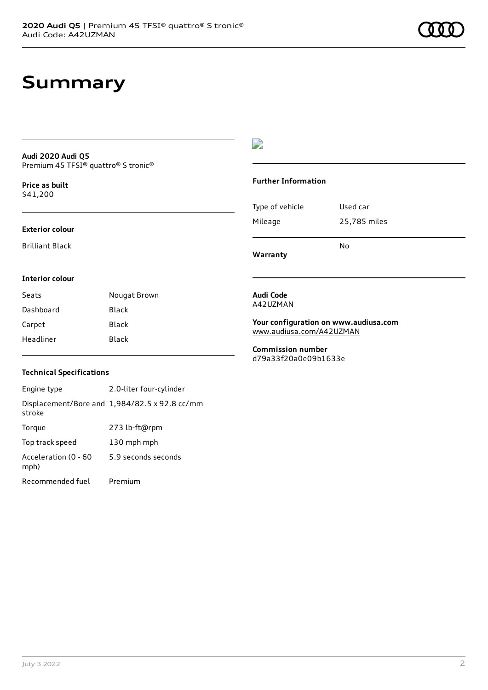# **Summary**

#### **Audi 2020 Audi Q5** Premium 45 TFSI® quattro® S tronic®

**Price as buil[t](#page-8-0)** \$41,200

### **Exterior colour**

Brilliant Black

### D

### **Further Information**

|                 | No           |
|-----------------|--------------|
| Mileage         | 25,785 miles |
| Type of vehicle | Used car     |

**Warranty**

### **Interior colour**

| Seats     | Nougat Brown |
|-----------|--------------|
| Dashboard | Black        |
| Carpet    | Black        |
| Headliner | Black        |

#### **Audi Code** A42UZMAN

**Your configuration on www.audiusa.com** [www.audiusa.com/A42UZMAN](https://www.audiusa.com/A42UZMAN)

**Commission number** d79a33f20a0e09b1633e

### **Technical Specifications**

Engine type 2.0-liter four-cylinder Displacement/Bore and 1,984/82.5 x 92.8 cc/mm stroke Torque 273 lb-ft@rpm Top track speed 130 mph mph Acceleration (0 - 60 mph) 5.9 seconds seconds Recommended fuel Premium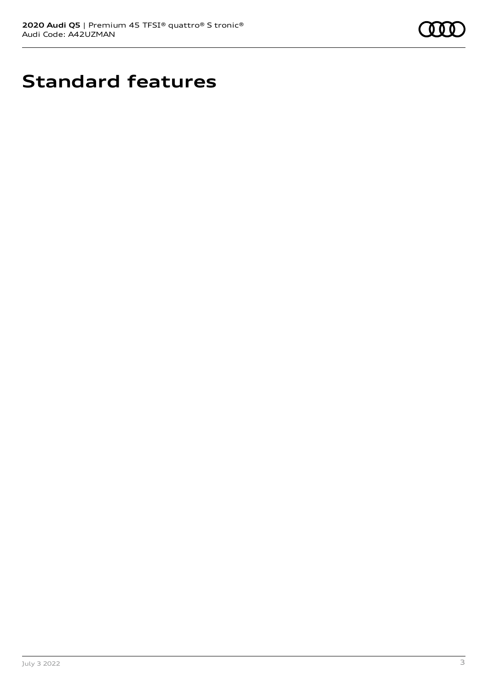

# **Standard features**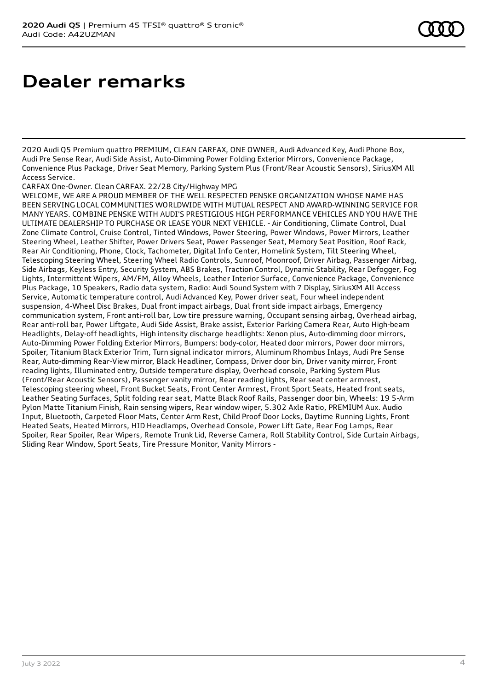# **Dealer remarks**

2020 Audi Q5 Premium quattro PREMIUM, CLEAN CARFAX, ONE OWNER, Audi Advanced Key, Audi Phone Box, Audi Pre Sense Rear, Audi Side Assist, Auto-Dimming Power Folding Exterior Mirrors, Convenience Package, Convenience Plus Package, Driver Seat Memory, Parking System Plus (Front/Rear Acoustic Sensors), SiriusXM All Access Service.

CARFAX One-Owner. Clean CARFAX. 22/28 City/Highway MPG

WELCOME, WE ARE A PROUD MEMBER OF THE WELL RESPECTED PENSKE ORGANIZATION WHOSE NAME HAS BEEN SERVING LOCAL COMMUNITIES WORLDWIDE WITH MUTUAL RESPECT AND AWARD-WINNING SERVICE FOR MANY YEARS. COMBINE PENSKE WITH AUDI'S PRESTIGIOUS HIGH PERFORMANCE VEHICLES AND YOU HAVE THE ULTIMATE DEALERSHIP TO PURCHASE OR LEASE YOUR NEXT VEHICLE. - Air Conditioning, Climate Control, Dual Zone Climate Control, Cruise Control, Tinted Windows, Power Steering, Power Windows, Power Mirrors, Leather Steering Wheel, Leather Shifter, Power Drivers Seat, Power Passenger Seat, Memory Seat Position, Roof Rack, Rear Air Conditioning, Phone, Clock, Tachometer, Digital Info Center, Homelink System, Tilt Steering Wheel, Telescoping Steering Wheel, Steering Wheel Radio Controls, Sunroof, Moonroof, Driver Airbag, Passenger Airbag, Side Airbags, Keyless Entry, Security System, ABS Brakes, Traction Control, Dynamic Stability, Rear Defogger, Fog Lights, Intermittent Wipers, AM/FM, Alloy Wheels, Leather Interior Surface, Convenience Package, Convenience Plus Package, 10 Speakers, Radio data system, Radio: Audi Sound System with 7 Display, SiriusXM All Access Service, Automatic temperature control, Audi Advanced Key, Power driver seat, Four wheel independent suspension, 4-Wheel Disc Brakes, Dual front impact airbags, Dual front side impact airbags, Emergency communication system, Front anti-roll bar, Low tire pressure warning, Occupant sensing airbag, Overhead airbag, Rear anti-roll bar, Power Liftgate, Audi Side Assist, Brake assist, Exterior Parking Camera Rear, Auto High-beam Headlights, Delay-off headlights, High intensity discharge headlights: Xenon plus, Auto-dimming door mirrors, Auto-Dimming Power Folding Exterior Mirrors, Bumpers: body-color, Heated door mirrors, Power door mirrors, Spoiler, Titanium Black Exterior Trim, Turn signal indicator mirrors, Aluminum Rhombus Inlays, Audi Pre Sense Rear, Auto-dimming Rear-View mirror, Black Headliner, Compass, Driver door bin, Driver vanity mirror, Front reading lights, Illuminated entry, Outside temperature display, Overhead console, Parking System Plus (Front/Rear Acoustic Sensors), Passenger vanity mirror, Rear reading lights, Rear seat center armrest, Telescoping steering wheel, Front Bucket Seats, Front Center Armrest, Front Sport Seats, Heated front seats, Leather Seating Surfaces, Split folding rear seat, Matte Black Roof Rails, Passenger door bin, Wheels: 19 5-Arm Pylon Matte Titanium Finish, Rain sensing wipers, Rear window wiper, 5.302 Axle Ratio, PREMIUM Aux. Audio Input, Bluetooth, Carpeted Floor Mats, Center Arm Rest, Child Proof Door Locks, Daytime Running Lights, Front Heated Seats, Heated Mirrors, HID Headlamps, Overhead Console, Power Lift Gate, Rear Fog Lamps, Rear Spoiler, Rear Spoiler, Rear Wipers, Remote Trunk Lid, Reverse Camera, Roll Stability Control, Side Curtain Airbags, Sliding Rear Window, Sport Seats, Tire Pressure Monitor, Vanity Mirrors -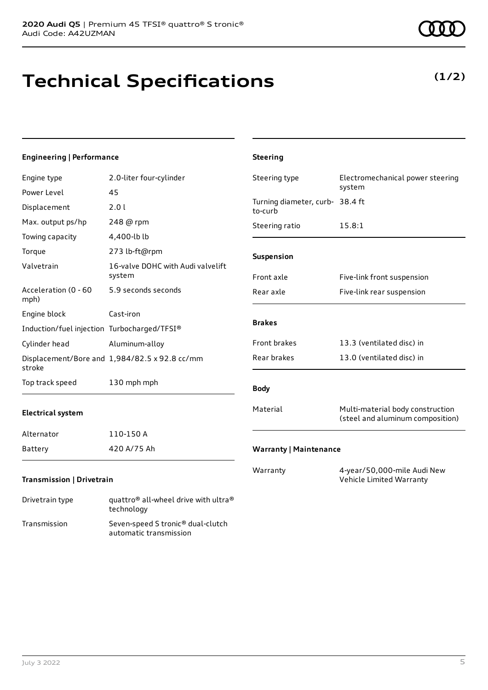# **Technical Specifications**

| Engineering   Performance                   |                                               | <b>Steering</b>                            |                      |
|---------------------------------------------|-----------------------------------------------|--------------------------------------------|----------------------|
| Engine type                                 | 2.0-liter four-cylinder                       | Steering type                              | Electromechanical    |
| Power Level                                 | 45                                            |                                            | system               |
| Displacement                                | 2.01                                          | Turning diameter, curb- 38.4 ft<br>to-curb |                      |
| Max. output ps/hp                           | 248 @ rpm                                     | Steering ratio                             | 15.8:1               |
| Towing capacity                             | 4,400-lb lb                                   |                                            |                      |
| Torque                                      | 273 lb-ft@rpm                                 | Suspension                                 |                      |
| Valvetrain                                  | 16-valve DOHC with Audi valvelift<br>system   | Front axle                                 | Five-link front susp |
| Acceleration (0 - 60<br>mph)                | 5.9 seconds seconds                           | Rear axle                                  | Five-link rear suspe |
| Engine block                                | Cast-iron                                     |                                            |                      |
| Induction/fuel injection Turbocharged/TFSI® |                                               | <b>Brakes</b>                              |                      |
| Cylinder head                               | Aluminum-alloy                                | Front brakes                               | 13.3 (ventilated dis |
| stroke                                      | Displacement/Bore and 1,984/82.5 x 92.8 cc/mm | Rear brakes                                | 13.0 (ventilated dis |
| Top track speed                             | 130 mph mph                                   | <b>Body</b>                                |                      |

### **Electrical system**

| Alternator | 110-150 A   |
|------------|-------------|
| Battery    | 420 A/75 Ah |

### **Transmission | Drivetrain**

| Drivetrain type | quattro <sup>®</sup> all-wheel drive with ultra <sup>®</sup><br>technology |
|-----------------|----------------------------------------------------------------------------|
| Transmission    | Seven-speed S tronic <sup>®</sup> dual-clutch<br>automatic transmission    |

### **(1/2)**

| Steering type                              | Electromechanical power steering<br>system                           |
|--------------------------------------------|----------------------------------------------------------------------|
| Turning diameter, curb- 38.4 ft<br>to-curb |                                                                      |
| Steering ratio                             | 15.8:1                                                               |
| <b>Suspension</b>                          |                                                                      |
| Front axle                                 | Five-link front suspension                                           |
| Rear axle                                  | Five-link rear suspension                                            |
| <b>Brakes</b>                              |                                                                      |
| <b>Front brakes</b>                        | 13.3 (ventilated disc) in                                            |
| Rear brakes                                | 13.0 (ventilated disc) in                                            |
| <b>Body</b>                                |                                                                      |
| Material                                   | Multi-material body construction<br>(steel and aluminum composition) |
| <b>Warranty   Maintenance</b>              |                                                                      |
| Warranty                                   | 4-year/50,000-mile Audi New                                          |

Vehicle Limited Warranty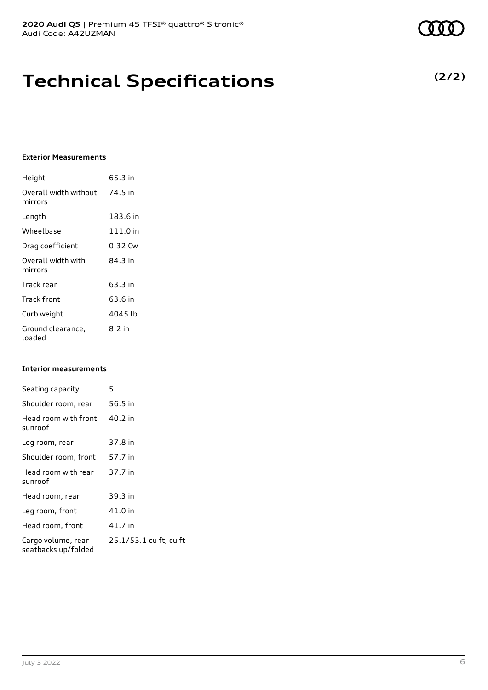# **Technical Specifications**

### **Exterior Measurements**

| Height                           | 65.3 in  |
|----------------------------------|----------|
| Overall width without<br>mirrors | 74.5 in  |
| Length                           | 183.6 in |
| Wheelbase                        | 111.0 in |
| Drag coefficient                 | 0.32 Cw  |
| Overall width with<br>mirrors    | 84.3 in  |
| Track rear                       | 63.3 in  |
| Track front                      | 63.6 in  |
| Curb weight                      | 4045 lb  |
| Ground clearance,<br>loaded      | 8.2 in   |

### **Interior measurements**

| Seating capacity                          | 5                      |
|-------------------------------------------|------------------------|
| Shoulder room, rear                       | 56.5 in                |
| Head room with front<br>sunroof           | 40.2 in                |
| Leg room, rear                            | 37.8 in                |
| Shoulder room, front                      | 57.7 in                |
| Head room with rear<br>sunroof            | 37.7 in                |
| Head room, rear                           | 39.3 in                |
| Leg room, front                           | 41.0 in                |
| Head room, front                          | 41.7 in                |
| Cargo volume, rear<br>seatbacks up/folded | 25.1/53.1 cu ft, cu ft |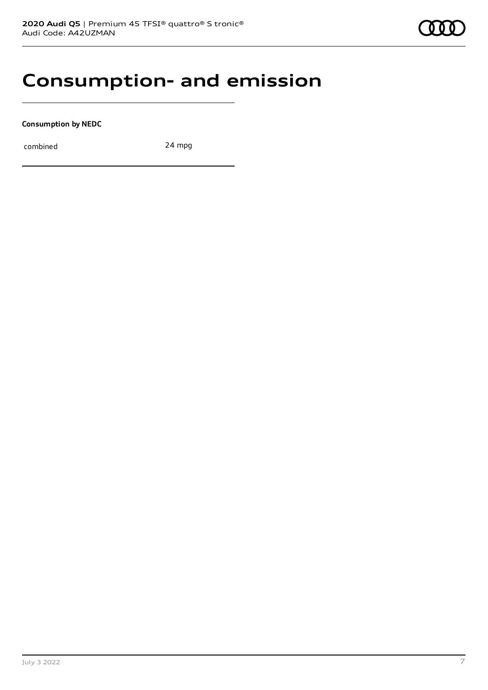### **Consumption- and emission**

**Consumption by NEDC**

combined 24 mpg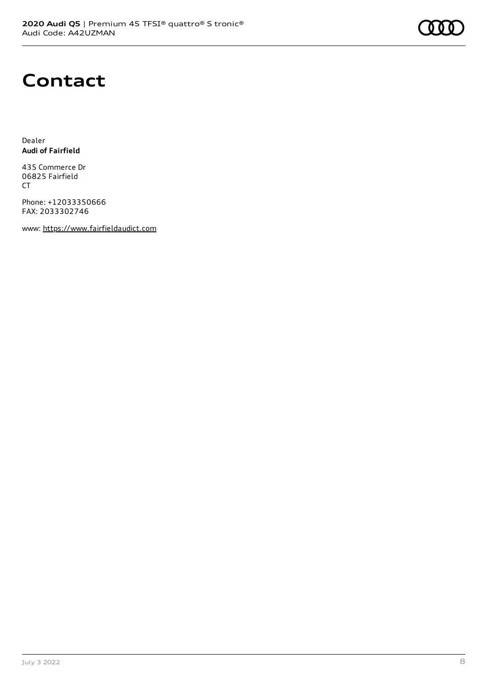

### **Contact**

Dealer **Audi of Fairfield**

435 Commerce Dr 06825 Fairfield CT

Phone: +12033350666 FAX: 2033302746

www: [https://www.fairfieldaudict.com](https://www.fairfieldaudict.com/)